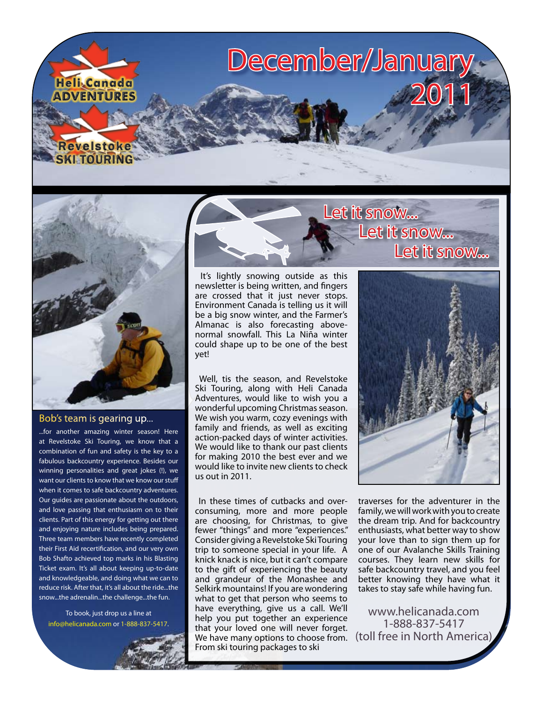



#### Bob's team is gearing up...

...for another amazing winter season! Here at Revelstoke Ski Touring, we know that a combination of fun and safety is the key to a fabulous backcountry experience. Besides our winning personalities and great jokes (!), we want our clients to know that we know our stuff when it comes to safe backcountry adventures. Our guides are passionate about the outdoors, and love passing that enthusiasm on to their clients. Part of this energy for getting out there and enjoying nature includes being prepared. Three team members have recently completed their First Aid recertification, and our very own Bob Shafto achieved top marks in his Blasting Ticket exam. It's all about keeping up-to-date and knowledgeable, and doing what we can to reduce risk. After that, it's all about the ride...the snow...the adrenalin...the challenge...the fun.

To book, just drop us a line at [info@helicanada.com](mailto:info@helicanada.com) or 1-888-837-5417.



 It's lightly snowing outside as this newsletter is being written, and fingers are crossed that it just never stops. Environment Canada is telling us it will be a big snow winter, and the Farmer's Almanac is also forecasting abovenormal snowfall. This La Niña winter could shape up to be one of the best yet!

 Well, tis the season, and Revelstoke Ski Touring, along with Heli Canada Adventures, would like to wish you a wonderful upcoming Christmas season. We wish you warm, cozy evenings with family and friends, as well as exciting action-packed days of winter activities. We would like to thank our past clients for making 2010 the best ever and we would like to invite new clients to check us out in 2011.

 In these times of cutbacks and overconsuming, more and more people are choosing, for Christmas, to give fewer "things" and more "experiences." Consider giving a Revelstoke Ski Touring trip to someone special in your life. A knick knack is nice, but it can't compare to the gift of experiencing the beauty and grandeur of the Monashee and Selkirk mountains! If you are wondering what to get that person who seems to have everything, give us a call. We'll help you put together an experience that your loved one will never forget. We have many options to choose from. From ski touring packages to ski

# Let it snow... Let it snow...



traverses for the adventurer in the family, we will work with you to create the dream trip. And for backcountry enthusiasts, what better way to show your love than to sign them up for one of our Avalanche Skills Training courses. They learn new skills for safe backcountry travel, and you feel better knowing they have what it takes to stay safe while having fun.

[www.helicanada.com](http://www.helicanada.com) 1-888-837-5417 (toll free in North America)